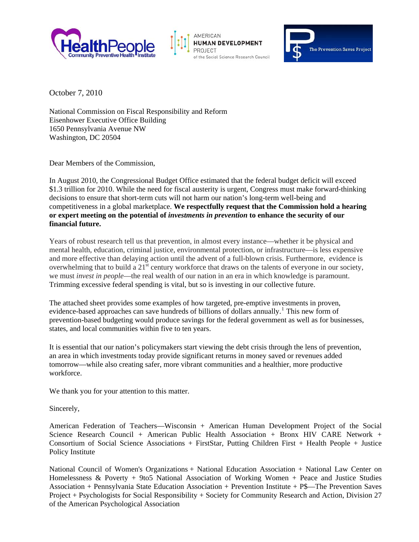





October 7, 2010

National Commission on Fiscal Responsibility and Reform Eisenhower Executive Office Building 1650 Pennsylvania Avenue NW Washington, DC 20504

Dear Members of the Commission,

In August 2010, the Congressional Budget Office estimated that the federal budget deficit will exceed \$1.3 trillion for 2010. While the need for fiscal austerity is urgent, Congress must make forward-thinking decisions to ensure that short-term cuts will not harm our nation's long-term well-being and competitiveness in a global marketplace. **We respectfully request that the Commission hold a hearing or expert meeting on the potential of** *investments in prevention* **to enhance the security of our financial future.** 

Years of robust research tell us that prevention, in almost every instance—whether it be physical and mental health, education, criminal justice, environmental protection, or infrastructure—is less expensive and more effective than delaying action until the advent of a full-blown crisis. Furthermore, evidence is overwhelming that to build a 21<sup>st</sup> century workforce that draws on the talents of everyone in our society, we must *invest in people*—the real wealth of our nation in an era in which knowledge is paramount. Trimming excessive federal spending is vital, but so is investing in our collective future.

The attached sheet provides some examples of how targeted, pre-emptive investments in proven, evidence-based approaches can save hundreds of billions of dollars annually.<sup>[1](#page-1-0)</sup> This new form of prevention-based budgeting would produce savings for the federal government as well as for businesses, states, and local communities within five to ten years.

It is essential that our nation's policymakers start viewing the debt crisis through the lens of prevention, an area in which investments today provide significant returns in money saved or revenues added tomorrow—while also creating safer, more vibrant communities and a healthier, more productive workforce.

We thank you for your attention to this matter.

Sincerely,

American Federation of Teachers—Wisconsin + American Human Development Project of the Social Science Research Council + American Public Health Association + Bronx HIV CARE Network + Consortium of Social Science Associations + FirstStar, Putting Children First + Health People + Justice Policy Institute

National Council of Women's Organizations + National Education Association + National Law Center on Homelessness & Poverty + 9to5 National Association of Working Women + Peace and Justice Studies Association + Pennsylvania State Education Association + Prevention Institute + P\$—The Prevention Saves Project + Psychologists for Social Responsibility + Society for Community Research and Action, Division 27 of the American Psychological Association